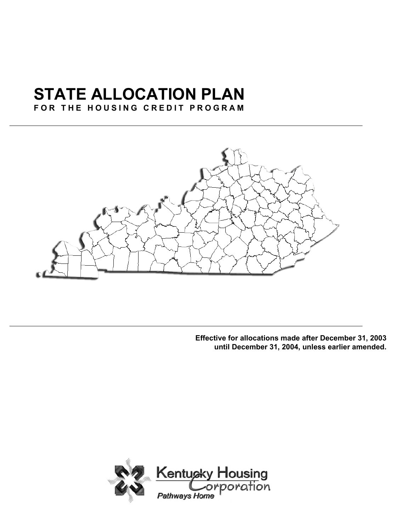# **STATE ALLOCATION PLAN**

# **FOR THE HOUSING CREDIT PROGRAM**



**Effective for allocations made after December 31, 2003 until December 31, 2004, unless earlier amended.**

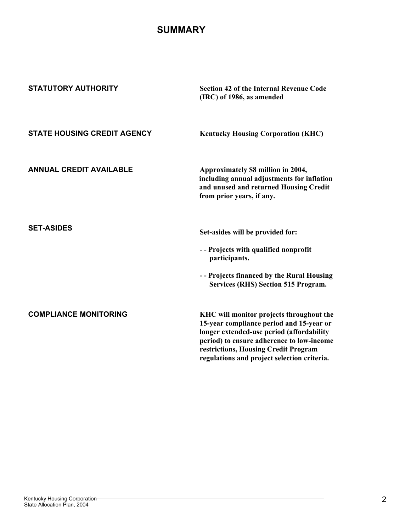# **SUMMARY**

| <b>STATUTORY AUTHORITY</b>         | <b>Section 42 of the Internal Revenue Code</b><br>(IRC) of 1986, as amended                                                                                                                                            |
|------------------------------------|------------------------------------------------------------------------------------------------------------------------------------------------------------------------------------------------------------------------|
| <b>STATE HOUSING CREDIT AGENCY</b> | <b>Kentucky Housing Corporation (KHC)</b>                                                                                                                                                                              |
| <b>ANNUAL CREDIT AVAILABLE</b>     | Approximately \$8 million in 2004,<br>including annual adjustments for inflation<br>and unused and returned Housing Credit<br>from prior years, if any.                                                                |
| <b>SET-ASIDES</b>                  | Set-asides will be provided for:                                                                                                                                                                                       |
|                                    | -- Projects with qualified nonprofit<br>participants.                                                                                                                                                                  |
|                                    | -- Projects financed by the Rural Housing<br><b>Services (RHS) Section 515 Program.</b>                                                                                                                                |
| <b>COMPLIANCE MONITORING</b>       | KHC will monitor projects throughout the<br>15-year compliance period and 15-year or<br>longer extended-use period (affordability<br>period) to ensure adherence to low-income<br>restrictions, Housing Credit Program |
|                                    | regulations and project selection criteria.                                                                                                                                                                            |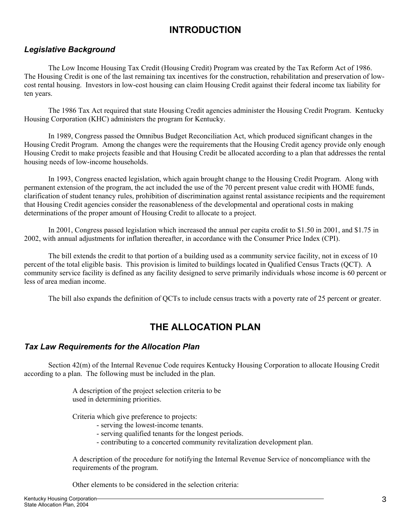# **INTRODUCTION**

# *Legislative Background*

The Low Income Housing Tax Credit (Housing Credit) Program was created by the Tax Reform Act of 1986. The Housing Credit is one of the last remaining tax incentives for the construction, rehabilitation and preservation of lowcost rental housing. Investors in low-cost housing can claim Housing Credit against their federal income tax liability for ten years.

The 1986 Tax Act required that state Housing Credit agencies administer the Housing Credit Program. Kentucky Housing Corporation (KHC) administers the program for Kentucky.

In 1989, Congress passed the Omnibus Budget Reconciliation Act, which produced significant changes in the Housing Credit Program. Among the changes were the requirements that the Housing Credit agency provide only enough Housing Credit to make projects feasible and that Housing Credit be allocated according to a plan that addresses the rental housing needs of low-income households.

In 1993, Congress enacted legislation, which again brought change to the Housing Credit Program. Along with permanent extension of the program, the act included the use of the 70 percent present value credit with HOME funds, clarification of student tenancy rules, prohibition of discrimination against rental assistance recipients and the requirement that Housing Credit agencies consider the reasonableness of the developmental and operational costs in making determinations of the proper amount of Housing Credit to allocate to a project.

In 2001, Congress passed legislation which increased the annual per capita credit to \$1.50 in 2001, and \$1.75 in 2002, with annual adjustments for inflation thereafter, in accordance with the Consumer Price Index (CPI).

The bill extends the credit to that portion of a building used as a community service facility, not in excess of 10 percent of the total eligible basis. This provision is limited to buildings located in Qualified Census Tracts (QCT). A community service facility is defined as any facility designed to serve primarily individuals whose income is 60 percent or less of area median income.

The bill also expands the definition of QCTs to include census tracts with a poverty rate of 25 percent or greater.

# **THE ALLOCATION PLAN**

# *Tax Law Requirements for the Allocation Plan*

Section 42(m) of the Internal Revenue Code requires Kentucky Housing Corporation to allocate Housing Credit according to a plan. The following must be included in the plan.

> A description of the project selection criteria to be used in determining priorities.

Criteria which give preference to projects:

- serving the lowest-income tenants.
- serving qualified tenants for the longest periods.
- contributing to a concerted community revitalization development plan.

 A description of the procedure for notifying the Internal Revenue Service of noncompliance with the requirements of the program.

Other elements to be considered in the selection criteria: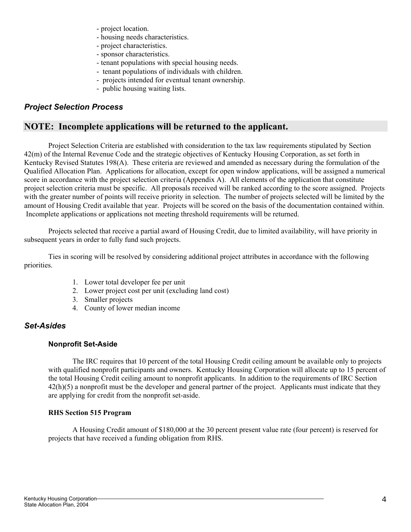- project location.
- housing needs characteristics.
- project characteristics.
- sponsor characteristics.
- tenant populations with special housing needs.
- tenant populations of individuals with children.
- projects intended for eventual tenant ownership.
- public housing waiting lists.

# *Project Selection Process*

# **NOTE: Incomplete applications will be returned to the applicant.**

Project Selection Criteria are established with consideration to the tax law requirements stipulated by Section 42(m) of the Internal Revenue Code and the strategic objectives of Kentucky Housing Corporation, as set forth in Kentucky Revised Statutes 198(A). These criteria are reviewed and amended as necessary during the formulation of the Qualified Allocation Plan. Applications for allocation, except for open window applications, will be assigned a numerical score in accordance with the project selection criteria (Appendix A). All elements of the application that constitute project selection criteria must be specific. All proposals received will be ranked according to the score assigned. Projects with the greater number of points will receive priority in selection. The number of projects selected will be limited by the amount of Housing Credit available that year. Projects will be scored on the basis of the documentation contained within. Incomplete applications or applications not meeting threshold requirements will be returned.

Projects selected that receive a partial award of Housing Credit, due to limited availability, will have priority in subsequent years in order to fully fund such projects.

Ties in scoring will be resolved by considering additional project attributes in accordance with the following priorities.

- 1. Lower total developer fee per unit
- 2. Lower project cost per unit (excluding land cost)
- 3. Smaller projects
- 4. County of lower median income

# *Set-Asides*

#### **Nonprofit Set-Aside**

The IRC requires that 10 percent of the total Housing Credit ceiling amount be available only to projects with qualified nonprofit participants and owners. Kentucky Housing Corporation will allocate up to 15 percent of the total Housing Credit ceiling amount to nonprofit applicants. In addition to the requirements of IRC Section  $42(h)(5)$  a nonprofit must be the developer and general partner of the project. Applicants must indicate that they are applying for credit from the nonprofit set-aside.

#### **RHS Section 515 Program**

A Housing Credit amount of \$180,000 at the 30 percent present value rate (four percent) is reserved for projects that have received a funding obligation from RHS.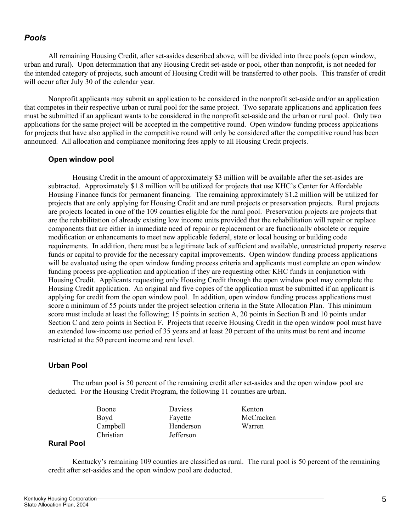# *Pools*

All remaining Housing Credit, after set-asides described above, will be divided into three pools (open window, urban and rural). Upon determination that any Housing Credit set-aside or pool, other than nonprofit, is not needed for the intended category of projects, such amount of Housing Credit will be transferred to other pools. This transfer of credit will occur after July 30 of the calendar year.

Nonprofit applicants may submit an application to be considered in the nonprofit set-aside and/or an application that competes in their respective urban or rural pool for the same project. Two separate applications and application fees must be submitted if an applicant wants to be considered in the nonprofit set-aside and the urban or rural pool. Only two applications for the same project will be accepted in the competitive round. Open window funding process applications for projects that have also applied in the competitive round will only be considered after the competitive round has been announced. All allocation and compliance monitoring fees apply to all Housing Credit projects.

#### **Open window pool**

Housing Credit in the amount of approximately \$3 million will be available after the set-asides are subtracted. Approximately \$1.8 million will be utilized for projects that use KHC's Center for Affordable Housing Finance funds for permanent financing. The remaining approximately \$1.2 million will be utilized for projects that are only applying for Housing Credit and are rural projects or preservation projects. Rural projects are projects located in one of the 109 counties eligible for the rural pool. Preservation projects are projects that are the rehabilitation of already existing low income units provided that the rehabilitation will repair or replace components that are either in immediate need of repair or replacement or are functionally obsolete or require modification or enhancements to meet new applicable federal, state or local housing or building code requirements. In addition, there must be a legitimate lack of sufficient and available, unrestricted property reserve funds or capital to provide for the necessary capital improvements. Open window funding process applications will be evaluated using the open window funding process criteria and applicants must complete an open window funding process pre-application and application if they are requesting other KHC funds in conjunction with Housing Credit. Applicants requesting only Housing Credit through the open window pool may complete the Housing Credit application. An original and five copies of the application must be submitted if an applicant is applying for credit from the open window pool. In addition, open window funding process applications must score a minimum of 55 points under the project selection criteria in the State Allocation Plan. This minimum score must include at least the following; 15 points in section A, 20 points in Section B and 10 points under Section C and zero points in Section F. Projects that receive Housing Credit in the open window pool must have an extended low-income use period of 35 years and at least 20 percent of the units must be rent and income restricted at the 50 percent income and rent level.

#### **Urban Pool**

The urban pool is 50 percent of the remaining credit after set-asides and the open window pool are deducted. For the Housing Credit Program, the following 11 counties are urban.

Boone Daviess Kenton Boyd Fayette McCracken Campbell Henderson Warren Christian Jefferson

## **Rural Pool**

Kentucky's remaining 109 counties are classified as rural. The rural pool is 50 percent of the remaining credit after set-asides and the open window pool are deducted.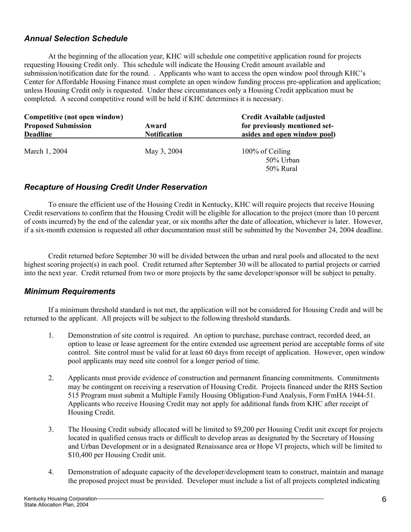# *Annual Selection Schedule*

At the beginning of the allocation year, KHC will schedule one competitive application round for projects requesting Housing Credit only. This schedule will indicate the Housing Credit amount available and submission/notification date for the round. . Applicants who want to access the open window pool through KHC's Center for Affordable Housing Finance must complete an open window funding process pre-application and application; unless Housing Credit only is requested. Under these circumstances only a Housing Credit application must be completed. A second competitive round will be held if KHC determines it is necessary.

| Competitive (not open window) |                     | <b>Credit Available (adjusted)</b><br>for previously mentioned set- |  |
|-------------------------------|---------------------|---------------------------------------------------------------------|--|
| <b>Proposed Submission</b>    | Award               |                                                                     |  |
| <b>Deadline</b>               | <b>Notification</b> | asides and open window pool)                                        |  |
| March 1, 2004                 | May 3, 2004         | 100% of Ceiling<br>50% Urban<br>50% Rural                           |  |

# *Recapture of Housing Credit Under Reservation*

To ensure the efficient use of the Housing Credit in Kentucky, KHC will require projects that receive Housing Credit reservations to confirm that the Housing Credit will be eligible for allocation to the project (more than 10 percent of costs incurred) by the end of the calendar year, or six months after the date of allocation, whichever is later. However, if a six-month extension is requested all other documentation must still be submitted by the November 24, 2004 deadline.

Credit returned before September 30 will be divided between the urban and rural pools and allocated to the next highest scoring project(s) in each pool. Credit returned after September 30 will be allocated to partial projects or carried into the next year. Credit returned from two or more projects by the same developer/sponsor will be subject to penalty.

# *Minimum Requirements*

If a minimum threshold standard is not met, the application will not be considered for Housing Credit and will be returned to the applicant. All projects will be subject to the following threshold standards.

- 1. Demonstration of site control is required. An option to purchase, purchase contract, recorded deed, an option to lease or lease agreement for the entire extended use agreement period are acceptable forms of site control. Site control must be valid for at least 60 days from receipt of application. However, open window pool applicants may need site control for a longer period of time.
- 2. Applicants must provide evidence of construction and permanent financing commitments. Commitments may be contingent on receiving a reservation of Housing Credit. Projects financed under the RHS Section 515 Program must submit a Multiple Family Housing Obligation-Fund Analysis, Form FmHA 1944-51. Applicants who receive Housing Credit may not apply for additional funds from KHC after receipt of Housing Credit.
- 3. The Housing Credit subsidy allocated will be limited to \$9,200 per Housing Credit unit except for projects located in qualified census tracts or difficult to develop areas as designated by the Secretary of Housing and Urban Development or in a designated Renaissance area or Hope VI projects, which will be limited to \$10,400 per Housing Credit unit.
- 4. Demonstration of adequate capacity of the developer/development team to construct, maintain and manage the proposed project must be provided. Developer must include a list of all projects completed indicating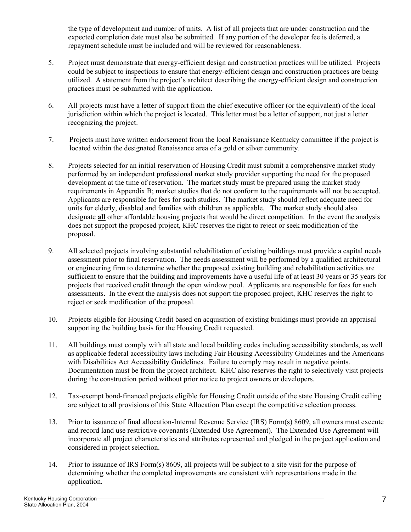the type of development and number of units. A list of all projects that are under construction and the expected completion date must also be submitted. If any portion of the developer fee is deferred, a repayment schedule must be included and will be reviewed for reasonableness.

- 5. Project must demonstrate that energy-efficient design and construction practices will be utilized. Projects could be subject to inspections to ensure that energy-efficient design and construction practices are being utilized. A statement from the project's architect describing the energy-efficient design and construction practices must be submitted with the application.
- 6. All projects must have a letter of support from the chief executive officer (or the equivalent) of the local jurisdiction within which the project is located. This letter must be a letter of support, not just a letter recognizing the project.
- 7. Projects must have written endorsement from the local Renaissance Kentucky committee if the project is located within the designated Renaissance area of a gold or silver community.
- 8. Projects selected for an initial reservation of Housing Credit must submit a comprehensive market study performed by an independent professional market study provider supporting the need for the proposed development at the time of reservation. The market study must be prepared using the market study requirements in Appendix B; market studies that do not conform to the requirements will not be accepted. Applicants are responsible for fees for such studies. The market study should reflect adequate need for units for elderly, disabled and families with children as applicable. The market study should also designate **all** other affordable housing projects that would be direct competition. In the event the analysis does not support the proposed project, KHC reserves the right to reject or seek modification of the proposal.
- 9. All selected projects involving substantial rehabilitation of existing buildings must provide a capital needs assessment prior to final reservation. The needs assessment will be performed by a qualified architectural or engineering firm to determine whether the proposed existing building and rehabilitation activities are sufficient to ensure that the building and improvements have a useful life of at least 30 years or 35 years for projects that received credit through the open window pool. Applicants are responsible for fees for such assessments. In the event the analysis does not support the proposed project, KHC reserves the right to reject or seek modification of the proposal.
- 10. Projects eligible for Housing Credit based on acquisition of existing buildings must provide an appraisal supporting the building basis for the Housing Credit requested.
- 11. All buildings must comply with all state and local building codes including accessibility standards, as well as applicable federal accessibility laws including Fair Housing Accessibility Guidelines and the Americans with Disabilities Act Accessibility Guidelines. Failure to comply may result in negative points. Documentation must be from the project architect. KHC also reserves the right to selectively visit projects during the construction period without prior notice to project owners or developers.
- 12. Tax-exempt bond-financed projects eligible for Housing Credit outside of the state Housing Credit ceiling are subject to all provisions of this State Allocation Plan except the competitive selection process.
- 13. Prior to issuance of final allocation-Internal Revenue Service (IRS) Form(s) 8609, all owners must execute and record land use restrictive covenants (Extended Use Agreement). The Extended Use Agreement will incorporate all project characteristics and attributes represented and pledged in the project application and considered in project selection.
- 14. Prior to issuance of IRS Form(s) 8609, all projects will be subject to a site visit for the purpose of determining whether the completed improvements are consistent with representations made in the application.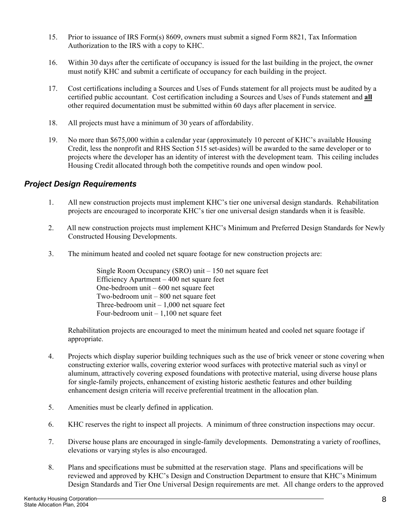- 15. Prior to issuance of IRS Form(s) 8609, owners must submit a signed Form 8821, Tax Information Authorization to the IRS with a copy to KHC.
- 16. Within 30 days after the certificate of occupancy is issued for the last building in the project, the owner must notify KHC and submit a certificate of occupancy for each building in the project.
- 17. Cost certifications including a Sources and Uses of Funds statement for all projects must be audited by a certified public accountant. Cost certification including a Sources and Uses of Funds statement and **all** other required documentation must be submitted within 60 days after placement in service.
- 18. All projects must have a minimum of 30 years of affordability.
- 19. No more than \$675,000 within a calendar year (approximately 10 percent of KHC's available Housing Credit, less the nonprofit and RHS Section 515 set-asides) will be awarded to the same developer or to projects where the developer has an identity of interest with the development team. This ceiling includes Housing Credit allocated through both the competitive rounds and open window pool.

# *Project Design Requirements*

- 1. All new construction projects must implement KHC's tier one universal design standards. Rehabilitation projects are encouraged to incorporate KHC's tier one universal design standards when it is feasible.
- 2. All new construction projects must implement KHC's Minimum and Preferred Design Standards for Newly Constructed Housing Developments.
- 3. The minimum heated and cooled net square footage for new construction projects are:

Single Room Occupancy (SRO) unit – 150 net square feet Efficiency Apartment – 400 net square feet One-bedroom unit – 600 net square feet Two-bedroom unit – 800 net square feet Three-bedroom unit – 1,000 net square feet Four-bedroom unit – 1,100 net square feet

Rehabilitation projects are encouraged to meet the minimum heated and cooled net square footage if appropriate.

- 4. Projects which display superior building techniques such as the use of brick veneer or stone covering when constructing exterior walls, covering exterior wood surfaces with protective material such as vinyl or aluminum, attractively covering exposed foundations with protective material, using diverse house plans for single-family projects, enhancement of existing historic aesthetic features and other building enhancement design criteria will receive preferential treatment in the allocation plan.
- 5. Amenities must be clearly defined in application.
- 6. KHC reserves the right to inspect all projects. A minimum of three construction inspections may occur.
- 7. Diverse house plans are encouraged in single-family developments. Demonstrating a variety of rooflines, elevations or varying styles is also encouraged.
- 8. Plans and specifications must be submitted at the reservation stage. Plans and specifications will be reviewed and approved by KHC's Design and Construction Department to ensure that KHC's Minimum Design Standards and Tier One Universal Design requirements are met. All change orders to the approved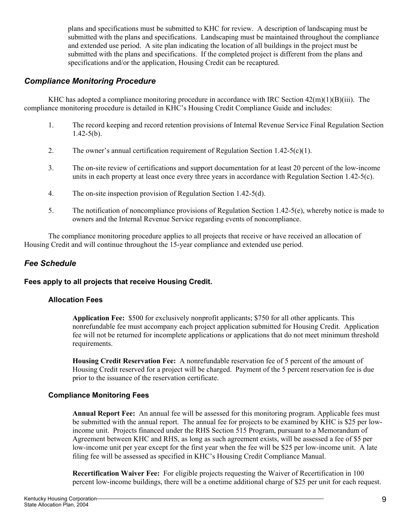plans and specifications must be submitted to KHC for review. A description of landscaping must be submitted with the plans and specifications. Landscaping must be maintained throughout the compliance and extended use period. A site plan indicating the location of all buildings in the project must be submitted with the plans and specifications. If the completed project is different from the plans and specifications and/or the application, Housing Credit can be recaptured.

# *Compliance Monitoring Procedure*

KHC has adopted a compliance monitoring procedure in accordance with IRC Section  $42(m)(1)(B)(iii)$ . The compliance monitoring procedure is detailed in KHC's Housing Credit Compliance Guide and includes:

- 1. The record keeping and record retention provisions of Internal Revenue Service Final Regulation Section  $1.42 - 5(b)$ .
- 2. The owner's annual certification requirement of Regulation Section 1.42-5(c)(1).
- 3. The on-site review of certifications and support documentation for at least 20 percent of the low-income units in each property at least once every three years in accordance with Regulation Section 1.42-5(c).
- 4. The on-site inspection provision of Regulation Section 1.42-5(d).
- 5. The notification of noncompliance provisions of Regulation Section 1.42-5(e), whereby notice is made to owners and the Internal Revenue Service regarding events of noncompliance.

The compliance monitoring procedure applies to all projects that receive or have received an allocation of Housing Credit and will continue throughout the 15-year compliance and extended use period.

# *Fee Schedule*

# **Fees apply to all projects that receive Housing Credit.**

#### **Allocation Fees**

**Application Fee:** \$500 for exclusively nonprofit applicants; \$750 for all other applicants. This nonrefundable fee must accompany each project application submitted for Housing Credit. Application fee will not be returned for incomplete applications or applications that do not meet minimum threshold requirements.

**Housing Credit Reservation Fee:** A nonrefundable reservation fee of 5 percent of the amount of Housing Credit reserved for a project will be charged. Payment of the 5 percent reservation fee is due prior to the issuance of the reservation certificate.

# **Compliance Monitoring Fees**

**Annual Report Fee:** An annual fee will be assessed for this monitoring program. Applicable fees must be submitted with the annual report. The annual fee for projects to be examined by KHC is \$25 per lowincome unit. Projects financed under the RHS Section 515 Program, pursuant to a Memorandum of Agreement between KHC and RHS, as long as such agreement exists, will be assessed a fee of \$5 per low-income unit per year except for the first year when the fee will be \$25 per low-income unit. A late filing fee will be assessed as specified in KHC's Housing Credit Compliance Manual.

**Recertification Waiver Fee:** For eligible projects requesting the Waiver of Recertification in 100 percent low-income buildings, there will be a onetime additional charge of \$25 per unit for each request.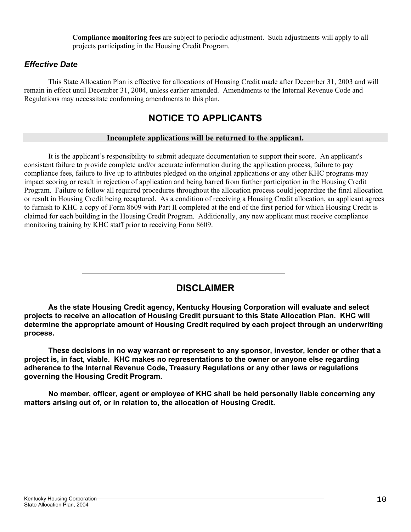**Compliance monitoring fees** are subject to periodic adjustment. Such adjustments will apply to all projects participating in the Housing Credit Program.

# *Effective Date*

This State Allocation Plan is effective for allocations of Housing Credit made after December 31, 2003 and will remain in effect until December 31, 2004, unless earlier amended. Amendments to the Internal Revenue Code and Regulations may necessitate conforming amendments to this plan.

# **NOTICE TO APPLICANTS**

## **Incomplete applications will be returned to the applicant.**

It is the applicant's responsibility to submit adequate documentation to support their score. An applicant's consistent failure to provide complete and/or accurate information during the application process, failure to pay compliance fees, failure to live up to attributes pledged on the original applications or any other KHC programs may impact scoring or result in rejection of application and being barred from further participation in the Housing Credit Program. Failure to follow all required procedures throughout the allocation process could jeopardize the final allocation or result in Housing Credit being recaptured. As a condition of receiving a Housing Credit allocation, an applicant agrees to furnish to KHC a copy of Form 8609 with Part II completed at the end of the first period for which Housing Credit is claimed for each building in the Housing Credit Program. Additionally, any new applicant must receive compliance monitoring training by KHC staff prior to receiving Form 8609.



**As the state Housing Credit agency, Kentucky Housing Corporation will evaluate and select projects to receive an allocation of Housing Credit pursuant to this State Allocation Plan. KHC will determine the appropriate amount of Housing Credit required by each project through an underwriting process.**

**These decisions in no way warrant or represent to any sponsor, investor, lender or other that a project is, in fact, viable. KHC makes no representations to the owner or anyone else regarding adherence to the Internal Revenue Code, Treasury Regulations or any other laws or regulations governing the Housing Credit Program.**

**No member, officer, agent or employee of KHC shall be held personally liable concerning any matters arising out of, or in relation to, the allocation of Housing Credit.**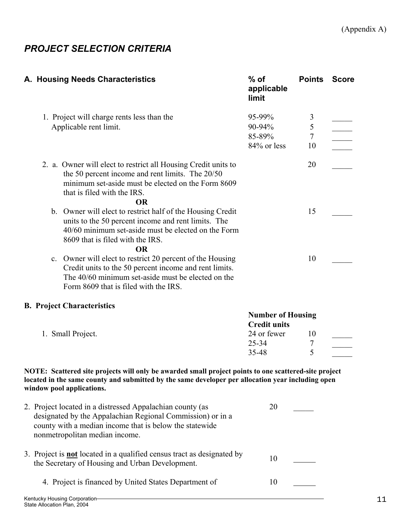# *PROJECT SELECTION CRITERIA*

| A. Housing Needs Characteristics                                                                                                                                                                                                        | $%$ of<br>applicable<br>limit                   | <b>Points</b>            | <b>Score</b> |
|-----------------------------------------------------------------------------------------------------------------------------------------------------------------------------------------------------------------------------------------|-------------------------------------------------|--------------------------|--------------|
| 1. Project will charge rents less than the<br>Applicable rent limit.                                                                                                                                                                    | 95-99%<br>90-94%<br>85-89%                      | 3<br>5<br>$\overline{7}$ |              |
|                                                                                                                                                                                                                                         | 84% or less                                     | 10                       |              |
| 2. a. Owner will elect to restrict all Housing Credit units to<br>the 50 percent income and rent limits. The 20/50<br>minimum set-aside must be elected on the Form 8609<br>that is filed with the IRS.<br><b>OR</b>                    |                                                 | 20                       |              |
| b. Owner will elect to restrict half of the Housing Credit<br>units to the 50 percent income and rent limits. The<br>40/60 minimum set-aside must be elected on the Form<br>8609 that is filed with the IRS.<br><b>OR</b>               |                                                 | 15                       |              |
| c. Owner will elect to restrict 20 percent of the Housing<br>Credit units to the 50 percent income and rent limits.<br>The 40/60 minimum set-aside must be elected on the<br>Form 8609 that is filed with the IRS.                      |                                                 | 10                       |              |
| <b>B. Project Characteristics</b>                                                                                                                                                                                                       |                                                 |                          |              |
|                                                                                                                                                                                                                                         | <b>Number of Housing</b><br><b>Credit units</b> |                          |              |
| 1. Small Project.                                                                                                                                                                                                                       | 24 or fewer                                     | 10                       |              |
|                                                                                                                                                                                                                                         | $25 - 34$                                       | 7                        |              |
|                                                                                                                                                                                                                                         | 35-48                                           | 5                        |              |
| NOTE: Scattered site projects will only be awarded small project points to one scattered-site project<br>located in the same county and submitted by the same developer per allocation year including open<br>window pool applications. |                                                 |                          |              |
| 2. Project located in a distressed Appalachian county (as<br>designated by the Appalachian Regional Commission) or in a<br>county with a median income that is below the statewide<br>nonmetropolitan median income.                    | 20                                              |                          |              |
| 3. Project is <b>not</b> located in a qualified census tract as designated by<br>the Secretary of Housing and Urban Development.                                                                                                        | 10                                              |                          |              |
| 4. Project is financed by United States Department of                                                                                                                                                                                   | 10                                              |                          |              |
| Kentucky Housing Corporation-                                                                                                                                                                                                           |                                                 |                          |              |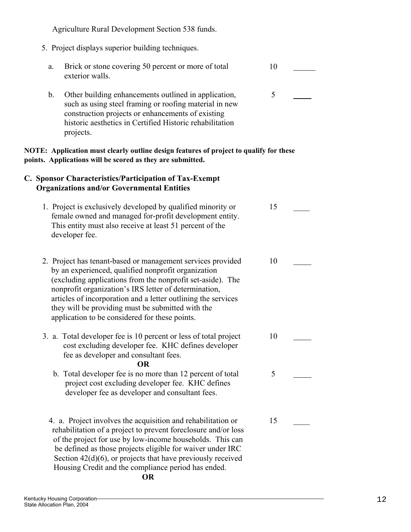Agriculture Rural Development Section 538 funds.

- 5. Project displays superior building techniques.
	- a. Brick or stone covering 50 percent or more of total exterior walls. 10  $\overline{a}$
	- b. Other building enhancements outlined in application, such as using steel framing or roofing material in new construction projects or enhancements of existing historic aesthetics in Certified Historic rehabilitation projects. 5  $\overline{a}$

#### **NOTE: Application must clearly outline design features of project to qualify for these points. Applications will be scored as they are submitted.**

## **C. Sponsor Characteristics/Participation of Tax-Exempt Organizations and/or Governmental Entities**

- 1. Project is exclusively developed by qualified minority or female owned and managed for-profit development entity. This entity must also receive at least 51 percent of the developer fee. 15 \_\_\_\_
- 2. Project has tenant-based or management services provided by an experienced, qualified nonprofit organization (excluding applications from the nonprofit set-aside). The nonprofit organization's IRS letter of determination, articles of incorporation and a letter outlining the services they will be providing must be submitted with the application to be considered for these points. 10
- 3. a. Total developer fee is 10 percent or less of total project cost excluding developer fee. KHC defines developer fee as developer and consultant fees. 10  $\overline{a}$

#### **OR**

- b. Total developer fee is no more than 12 percent of total project cost excluding developer fee. KHC defines developer fee as developer and consultant fees. 5
- 4. a. Project involves the acquisition and rehabilitation or rehabilitation of a project to prevent foreclosure and/or loss of the project for use by low-income households. This can be defined as those projects eligible for waiver under IRC Section  $42(d)(6)$ , or projects that have previously received Housing Credit and the compliance period has ended. 15 \_\_\_\_

#### **OR**

 $\overline{a}$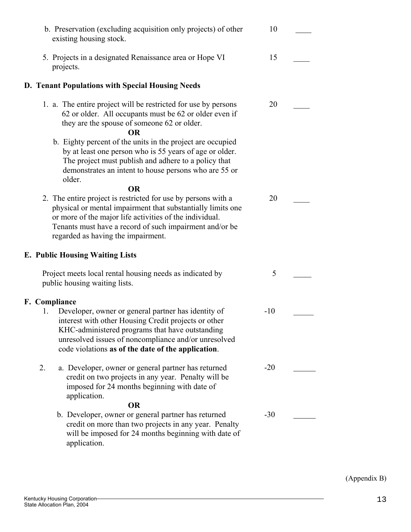| b. Preservation (excluding acquisition only projects) of other<br>existing housing stock.                                                                                                                                                                                                | 10    |  |
|------------------------------------------------------------------------------------------------------------------------------------------------------------------------------------------------------------------------------------------------------------------------------------------|-------|--|
| 5. Projects in a designated Renaissance area or Hope VI                                                                                                                                                                                                                                  | 15    |  |
| projects.                                                                                                                                                                                                                                                                                |       |  |
| D. Tenant Populations with Special Housing Needs                                                                                                                                                                                                                                         |       |  |
| 1. a. The entire project will be restricted for use by persons<br>62 or older. All occupants must be 62 or older even if<br>they are the spouse of someone 62 or older.<br><b>OR</b>                                                                                                     | 20    |  |
| b. Eighty percent of the units in the project are occupied<br>by at least one person who is 55 years of age or older.<br>The project must publish and adhere to a policy that<br>demonstrates an intent to house persons who are 55 or<br>older.                                         |       |  |
| <b>OR</b>                                                                                                                                                                                                                                                                                |       |  |
| 2. The entire project is restricted for use by persons with a<br>physical or mental impairment that substantially limits one<br>or more of the major life activities of the individual.<br>Tenants must have a record of such impairment and/or be<br>regarded as having the impairment. | 20    |  |
| <b>E. Public Housing Waiting Lists</b>                                                                                                                                                                                                                                                   |       |  |
| Project meets local rental housing needs as indicated by<br>public housing waiting lists.                                                                                                                                                                                                | 5     |  |
| F. Compliance                                                                                                                                                                                                                                                                            |       |  |
| Developer, owner or general partner has identity of<br>1.<br>interest with other Housing Credit projects or other<br>KHC-administered programs that have outstanding<br>unresolved issues of noncompliance and/or unresolved<br>code violations as of the date of the application.       | $-10$ |  |
| 2.<br>a. Developer, owner or general partner has returned<br>credit on two projects in any year. Penalty will be<br>imposed for 24 months beginning with date of<br>application.                                                                                                         | $-20$ |  |
| <b>OR</b><br>b. Developer, owner or general partner has returned<br>credit on more than two projects in any year. Penalty<br>will be imposed for 24 months beginning with date of<br>application.                                                                                        | $-30$ |  |

**F.**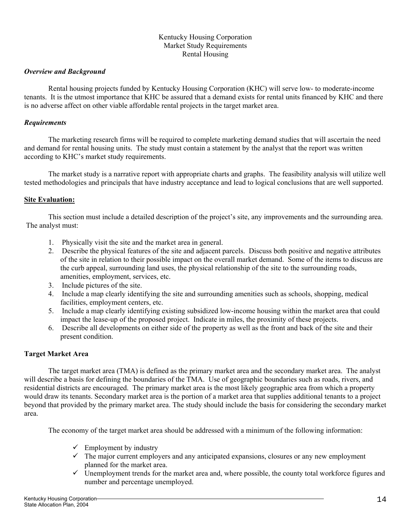#### Kentucky Housing Corporation Market Study Requirements Rental Housing

#### *Overview and Background*

Rental housing projects funded by Kentucky Housing Corporation (KHC) will serve low- to moderate-income tenants. It is the utmost importance that KHC be assured that a demand exists for rental units financed by KHC and there is no adverse affect on other viable affordable rental projects in the target market area.

#### *Requirements*

The marketing research firms will be required to complete marketing demand studies that will ascertain the need and demand for rental housing units. The study must contain a statement by the analyst that the report was written according to KHC's market study requirements.

The market study is a narrative report with appropriate charts and graphs. The feasibility analysis will utilize well tested methodologies and principals that have industry acceptance and lead to logical conclusions that are well supported.

#### **Site Evaluation:**

This section must include a detailed description of the project's site, any improvements and the surrounding area. The analyst must:

- 1. Physically visit the site and the market area in general.
- 2. Describe the physical features of the site and adjacent parcels. Discuss both positive and negative attributes of the site in relation to their possible impact on the overall market demand. Some of the items to discuss are the curb appeal, surrounding land uses, the physical relationship of the site to the surrounding roads, amenities, employment, services, etc.
- 3. Include pictures of the site.
- 4. Include a map clearly identifying the site and surrounding amenities such as schools, shopping, medical facilities, employment centers, etc.
- 5. Include a map clearly identifying existing subsidized low-income housing within the market area that could impact the lease-up of the proposed project. Indicate in miles, the proximity of these projects.
- 6. Describe all developments on either side of the property as well as the front and back of the site and their present condition.

#### **Target Market Area**

The target market area (TMA) is defined as the primary market area and the secondary market area. The analyst will describe a basis for defining the boundaries of the TMA. Use of geographic boundaries such as roads, rivers, and residential districts are encouraged. The primary market area is the most likely geographic area from which a property would draw its tenants. Secondary market area is the portion of a market area that supplies additional tenants to a project beyond that provided by the primary market area. The study should include the basis for considering the secondary market area.

The economy of the target market area should be addressed with a minimum of the following information:

- $\checkmark$  Employment by industry
- $\checkmark$  The major current employers and any anticipated expansions, closures or any new employment planned for the market area.
- $\checkmark$  Unemployment trends for the market area and, where possible, the county total workforce figures and number and percentage unemployed.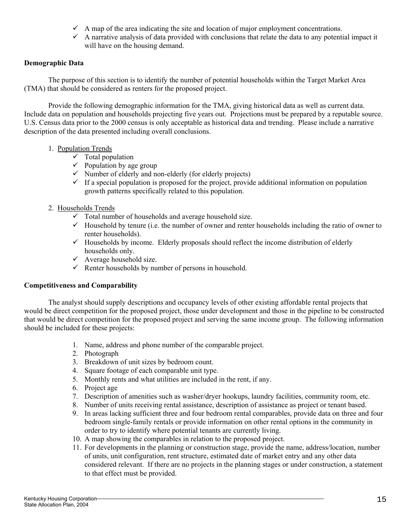- $\checkmark$  A map of the area indicating the site and location of major employment concentrations.
- $\checkmark$  A narrative analysis of data provided with conclusions that relate the data to any potential impact it will have on the housing demand.

# **Demographic Data**

The purpose of this section is to identify the number of potential households within the Target Market Area (TMA) that should be considered as renters for the proposed project.

Provide the following demographic information for the TMA, giving historical data as well as current data. Include data on population and households projecting five years out. Projections must be prepared by a reputable source. U.S. Census data prior to the 2000 census is only acceptable as historical data and trending. Please include a narrative description of the data presented including overall conclusions.

# 1. Population Trends

- $\checkmark$  Total population
- $\checkmark$  Population by age group
- $\checkmark$  Number of elderly and non-elderly (for elderly projects)
- $\checkmark$  If a special population is proposed for the project, provide additional information on population growth patterns specifically related to this population.
- 2. Households Trends
	- $\checkmark$  Total number of households and average household size.
	- $\checkmark$  Household by tenure (i.e. the number of owner and renter households including the ratio of owner to renter households).
	- $\checkmark$  Households by income. Elderly proposals should reflect the income distribution of elderly households only.
	- $\checkmark$  Average household size.
	- $\checkmark$  Renter households by number of persons in household.

# **Competitiveness and Comparability**

The analyst should supply descriptions and occupancy levels of other existing affordable rental projects that would be direct competition for the proposed project, those under development and those in the pipeline to be constructed that would be direct competition for the proposed project and serving the same income group. The following information should be included for these projects:

- 1. Name, address and phone number of the comparable project.
- 2. Photograph
- 3. Breakdown of unit sizes by bedroom count.
- 4. Square footage of each comparable unit type.
- 5. Monthly rents and what utilities are included in the rent, if any.
- 6. Project age
- 7. Description of amenities such as washer/dryer hookups, laundry facilities, community room, etc.
- 8. Number of units receiving rental assistance, description of assistance as project or tenant based.
- 9. In areas lacking sufficient three and four bedroom rental comparables, provide data on three and four bedroom single-family rentals or provide information on other rental options in the community in order to try to identify where potential tenants are currently living.
- 10. A map showing the comparables in relation to the proposed project.
- 11. For developments in the planning or construction stage, provide the name, address/location, number of units, unit configuration, rent structure, estimated date of market entry and any other data considered relevant. If there are no projects in the planning stages or under construction, a statement to that effect must be provided.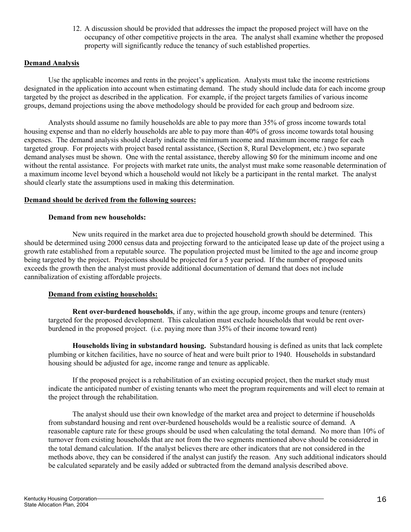12. A discussion should be provided that addresses the impact the proposed project will have on the occupancy of other competitive projects in the area. The analyst shall examine whether the proposed property will significantly reduce the tenancy of such established properties.

## **Demand Analysis**

Use the applicable incomes and rents in the project's application. Analysts must take the income restrictions designated in the application into account when estimating demand. The study should include data for each income group targeted by the project as described in the application. For example, if the project targets families of various income groups, demand projections using the above methodology should be provided for each group and bedroom size.

Analysts should assume no family households are able to pay more than 35% of gross income towards total housing expense and than no elderly households are able to pay more than 40% of gross income towards total housing expenses. The demand analysis should clearly indicate the minimum income and maximum income range for each targeted group. For projects with project based rental assistance, (Section 8, Rural Development, etc.) two separate demand analyses must be shown. One with the rental assistance, thereby allowing \$0 for the minimum income and one without the rental assistance. For projects with market rate units, the analyst must make some reasonable determination of a maximum income level beyond which a household would not likely be a participant in the rental market. The analyst should clearly state the assumptions used in making this determination.

#### **Demand should be derived from the following sources:**

#### **Demand from new households:**

New units required in the market area due to projected household growth should be determined. This should be determined using 2000 census data and projecting forward to the anticipated lease up date of the project using a growth rate established from a reputable source. The population projected must be limited to the age and income group being targeted by the project. Projections should be projected for a 5 year period. If the number of proposed units exceeds the growth then the analyst must provide additional documentation of demand that does not include cannibalization of existing affordable projects.

#### **Demand from existing households:**

**Rent over-burdened households**, if any, within the age group, income groups and tenure (renters) targeted for the proposed development. This calculation must exclude households that would be rent overburdened in the proposed project. (i.e. paying more than 35% of their income toward rent)

**Households living in substandard housing.** Substandard housing is defined as units that lack complete plumbing or kitchen facilities, have no source of heat and were built prior to 1940. Households in substandard housing should be adjusted for age, income range and tenure as applicable.

If the proposed project is a rehabilitation of an existing occupied project, then the market study must indicate the anticipated number of existing tenants who meet the program requirements and will elect to remain at the project through the rehabilitation.

The analyst should use their own knowledge of the market area and project to determine if households from substandard housing and rent over-burdened households would be a realistic source of demand. A reasonable capture rate for these groups should be used when calculating the total demand. No more than 10% of turnover from existing households that are not from the two segments mentioned above should be considered in the total demand calculation. If the analyst believes there are other indicators that are not considered in the methods above, they can be considered if the analyst can justify the reason. Any such additional indicators should be calculated separately and be easily added or subtracted from the demand analysis described above.